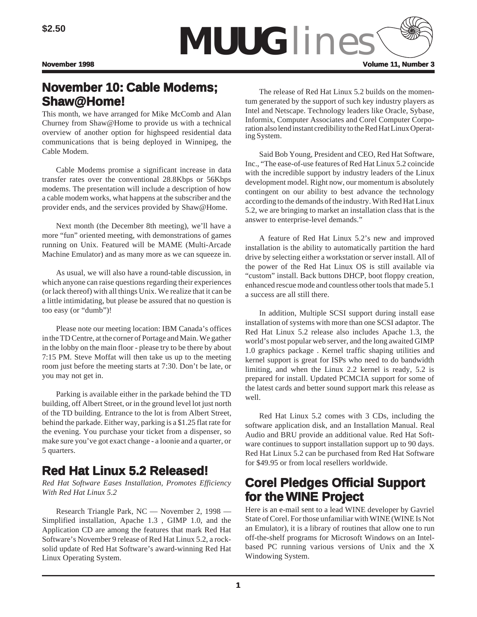

# **November 10: Cable Modems;**  $Shaw@Home!$

This month, we have arranged for Mike McComb and Alan Churney from Shaw@Home to provide us with a technical overview of another option for highspeed residential data communications that is being deployed in Winnipeg, the Cable Modem.

Cable Modems promise a significant increase in data transfer rates over the conventional 28.8Kbps or 56Kbps modems. The presentation will include a description of how a cable modem works, what happens at the subscriber and the provider ends, and the services provided by Shaw@Home.

Next month (the December 8th meeting), we'll have a more "fun" oriented meeting, with demonstrations of games running on Unix. Featured will be MAME (Multi-Arcade Machine Emulator) and as many more as we can squeeze in.

As usual, we will also have a round-table discussion, in which anyone can raise questions regarding their experiences (or lack thereof) with all things Unix. We realize that it can be a little intimidating, but please be assured that no question is too easy (or "dumb")!

Please note our meeting location: IBM Canada's offices in the TD Centre, at the corner of Portage and Main. We gather in the lobby on the main floor - please try to be there by about 7:15 PM. Steve Moffat will then take us up to the meeting room just before the meeting starts at 7:30. Don't be late, or you may not get in.

Parking is available either in the parkade behind the TD building, off Albert Street, or in the ground level lot just north of the TD building. Entrance to the lot is from Albert Street, behind the parkade. Either way, parking is a \$1.25 flat rate for the evening. You purchase your ticket from a dispenser, so make sure you've got exact change - a loonie and a quarter, or 5 quarters.

# **Red Hat Linux 5.2 Released!**

*Red Hat Software Eases Installation, Promotes Efficiency With Red Hat Linux 5.2*

Research Triangle Park, NC — November 2, 1998 — Simplified installation, Apache 1.3 , GIMP 1.0, and the Application CD are among the features that mark Red Hat Software's November 9 release of Red Hat Linux 5.2, a rocksolid update of Red Hat Software's award-winning Red Hat Linux Operating System.

The release of Red Hat Linux 5.2 builds on the momentum generated by the support of such key industry players as Intel and Netscape. Technology leaders like Oracle, Sybase, Informix, Computer Associates and Corel Computer Corporation also lend instant credibility to the Red Hat Linux Operating System.

Said Bob Young, President and CEO, Red Hat Software, Inc., "The ease-of-use features of Red Hat Linux 5.2 coincide with the incredible support by industry leaders of the Linux development model. Right now, our momentum is absolutely contingent on our ability to best advance the technology according to the demands of the industry. With Red Hat Linux 5.2, we are bringing to market an installation class that is the answer to enterprise-level demands."

A feature of Red Hat Linux 5.2's new and improved installation is the ability to automatically partition the hard drive by selecting either a workstation or server install. All of the power of the Red Hat Linux OS is still available via "custom" install. Back buttons DHCP, boot floppy creation, enhanced rescue mode and countless other tools that made 5.1 a success are all still there.

In addition, Multiple SCSI support during install ease installation of systems with more than one SCSI adaptor. The Red Hat Linux 5.2 release also includes Apache 1.3, the world's most popular web server, and the long awaited GIMP 1.0 graphics package . Kernel traffic shaping utilities and kernel support is great for ISPs who need to do bandwidth limiting, and when the Linux 2.2 kernel is ready, 5.2 is prepared for install. Updated PCMCIA support for some of the latest cards and better sound support mark this release as well.

Red Hat Linux 5.2 comes with 3 CDs, including the software application disk, and an Installation Manual. Real Audio and BRU provide an additional value. Red Hat Software continues to support installation support up to 90 days. Red Hat Linux 5.2 can be purchased from Red Hat Software for \$49.95 or from local resellers worldwide.

# **Corel Pledges Official Support for the WINE Project**

Here is an e-mail sent to a lead WINE developer by Gavriel State of Corel. For those unfamiliar with WINE (WINE Is Not an Emulator), it is a library of routines that allow one to run off-the-shelf programs for Microsoft Windows on an Intelbased PC running various versions of Unix and the X Windowing System.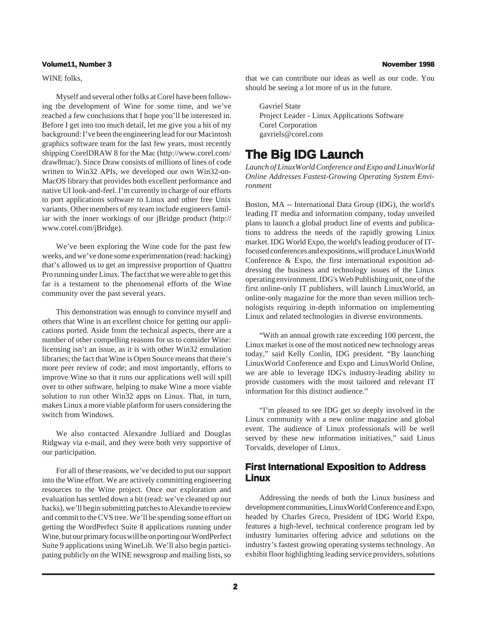#### **Volume11, Number 3 November 1998**

#### WINE folks,

Myself and several other folks at Corel have been following the development of Wine for some time, and we've reached a few conclusions that I hope you'll be interested in. Before I get into too much detail, let me give you a bit of my background: I've been the engineering lead for our Macintosh graphics software team for the last few years, most recently shipping CorelDRAW 8 for the Mac (http://www.corel.com/ draw8mac/). Since Draw consists of millions of lines of code written to Win32 APIs, we developed our own Win32-on-MacOS library that provides both excellent performance and native UI look-and-feel. I'm currently in charge of our efforts to port applications software to Linux and other free Unix variants. Other members of my team include engineers familiar with the inner workings of our jBridge product (http:// www.corel.com/jBridge).

We've been exploring the Wine code for the past few weeks, and we've done some experimentation (read: hacking) that's allowed us to get an impressive proportion of Quattro Pro running under Linux. The fact that we were able to get this far is a testament to the phenomenal efforts of the Wine community over the past several years.

This demonstration was enough to convince myself and others that Wine is an excellent choice for getting our applications ported. Aside from the technical aspects, there are a number of other compelling reasons for us to consider Wine: licensing isn't an issue, as it is with other Win32 emulation libraries; the fact that Wine is Open Source means that there's more peer review of code; and most importantly, efforts to improve Wine so that it runs our applications well will spill over to other software, helping to make Wine a more viable solution to run other Win32 apps on Linux. That, in turn, makes Linux a more viable platform for users considering the switch from Windows.

We also contacted Alexandre Julliard and Douglas Ridgway via e-mail, and they were both very supportive of our participation.

For all of these reasons, we've decided to put our support into the Wine effort. We are actively committing engineering resources to the Wine project. Once our exploration and evaluation has settled down a bit (read: we've cleaned up our hacks), we'll begin submitting patches to Alexandre to review and commit to the CVS tree. We'll be spending some effort on getting the WordPerfect Suite 8 applications running under Wine, but our primary focus will be on porting our WordPerfect Suite 9 applications using WineLib. We'll also begin participating publicly on the WINE newsgroup and mailing lists, so

that we can contribute our ideas as well as our code. You should be seeing a lot more of us in the future.

Gavriel State Project Leader - Linux Applications Software Corel Corporation gavriels@corel.com

## **The Big IDG Launch**

*Launch of LinuxWorld Conference and Expo and LinuxWorld Online Addresses Fastest-Growing Operating System Environment*

Boston, MA -- International Data Group (IDG), the world's leading IT media and information company, today unveiled plans to launch a global product line of events and publications to address the needs of the rapidly growing Linux market. IDG World Expo, the world's leading producer of ITfocused conferences and expositions, will produce LinuxWorld Conference & Expo, the first international exposition addressing the business and technology issues of the Linux operating environment. IDG's Web Publishing unit, one of the first online-only IT publishers, will launch LinuxWorld, an online-only magazine for the more than seven million technologists requiring in-depth information on implementing Linux and related technologies in diverse environments.

"With an annual growth rate exceeding 100 percent, the Linux market is one of the most noticed new technology areas today," said Kelly Conlin, IDG president. "By launching LinuxWorld Conference and Expo and LinuxWorld Online, we are able to leverage IDG's industry-leading ability to provide customers with the most tailored and relevant IT information for this distinct audience."

"I'm pleased to see IDG get so deeply involved in the Linux community with a new online magazine and global event. The audience of Linux professionals will be well served by these new information initiatives," said Linus Torvalds, developer of Linux.

## **First International Exposition to Address Linux**

Addressing the needs of both the Linux business and development communities, LinuxWorld Conference and Expo, headed by Charles Greco, President of IDG World Expo, features a high-level, technical conference program led by industry luminaries offering advice and solutions on the industry's fastest growing operating systems technology. An exhibit floor highlighting leading service providers, solutions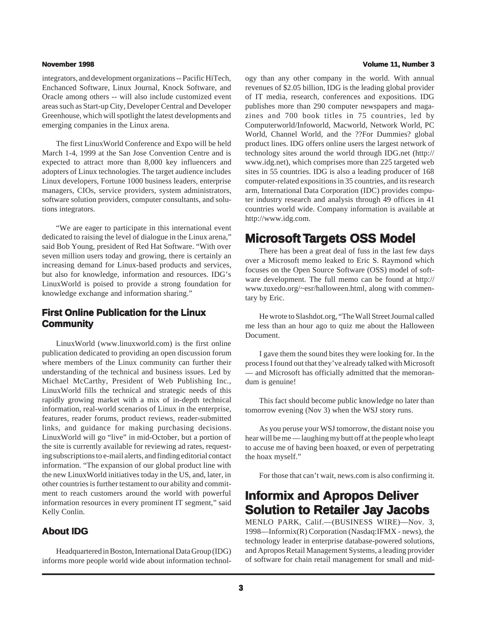integrators, and development organizations -- Pacific HiTech, Enchanced Software, Linux Journal, Knock Software, and Oracle among others -- will also include customized event areas such as Start-up City, Developer Central and Developer Greenhouse, which will spotlight the latest developments and emerging companies in the Linux arena.

The first LinuxWorld Conference and Expo will be held March 1-4, 1999 at the San Jose Convention Centre and is expected to attract more than 8,000 key influencers and adopters of Linux technologies. The target audience includes Linux developers, Fortune 1000 business leaders, enterprise managers, CIOs, service providers, system administrators, software solution providers, computer consultants, and solutions integrators.

"We are eager to participate in this international event dedicated to raising the level of dialogue in the Linux arena," said Bob Young, president of Red Hat Software. "With over seven million users today and growing, there is certainly an increasing demand for Linux-based products and services, but also for knowledge, information and resources. IDG's LinuxWorld is poised to provide a strong foundation for knowledge exchange and information sharing."

## **First Online Publication for the Linux Community**

LinuxWorld (www.linuxworld.com) is the first online publication dedicated to providing an open discussion forum where members of the Linux community can further their understanding of the technical and business issues. Led by Michael McCarthy, President of Web Publishing Inc., LinuxWorld fills the technical and strategic needs of this rapidly growing market with a mix of in-depth technical information, real-world scenarios of Linux in the enterprise, features, reader forums, product reviews, reader-submitted links, and guidance for making purchasing decisions. LinuxWorld will go "live" in mid-October, but a portion of the site is currently available for reviewing ad rates, requesting subscriptions to e-mail alerts, and finding editorial contact information. "The expansion of our global product line with the new LinuxWorld initiatives today in the US, and, later, in other countries is further testament to our ability and commitment to reach customers around the world with powerful information resources in every prominent IT segment," said Kelly Conlin.

## **About IDG**

Headquartered in Boston, International Data Group (IDG) informs more people world wide about information technol-

#### **November 1998 Volume 11, Number 3**

ogy than any other company in the world. With annual revenues of \$2.05 billion, IDG is the leading global provider of IT media, research, conferences and expositions. IDG publishes more than 290 computer newspapers and magazines and 700 book titles in 75 countries, led by Computerworld/Infoworld, Macworld, Network World, PC World, Channel World, and the ??For Dummies? global product lines. IDG offers online users the largest network of technology sites around the world through IDG.net (http:// www.idg.net), which comprises more than 225 targeted web sites in 55 countries. IDG is also a leading producer of 168 computer-related expositions in 35 countries, and its research arm, International Data Corporation (IDC) provides computer industry research and analysis through 49 offices in 41 countries world wide. Company information is available at http://www.idg.com.

## **Microsoft Targets OSS Model**

There has been a great deal of fuss in the last few days over a Microsoft memo leaked to Eric S. Raymond which focuses on the Open Source Software (OSS) model of software development. The full memo can be found at http:// www.tuxedo.org/~esr/halloween.html, along with commentary by Eric.

He wrote to Slashdot.org, "The Wall Street Journal called me less than an hour ago to quiz me about the Halloween Document.

I gave them the sound bites they were looking for. In the process I found out that they've already talked with Microsoft — and Microsoft has officially admitted that the memorandum is genuine!

This fact should become public knowledge no later than tomorrow evening (Nov 3) when the WSJ story runs.

As you peruse your WSJ tomorrow, the distant noise you hear will be me — laughing my butt off at the people who leapt to accuse me of having been hoaxed, or even of perpetrating the hoax myself."

For those that can't wait, news.com is also confirming it.

## **Informix and Apropos Deliver Solution to Retailer Jay Jacobs**

MENLO PARK, Calif.—(BUSINESS WIRE)—Nov. 3, 1998—Informix(R) Corporation (Nasdaq:IFMX - news), the technology leader in enterprise database-powered solutions, and Apropos Retail Management Systems, a leading provider of software for chain retail management for small and mid-